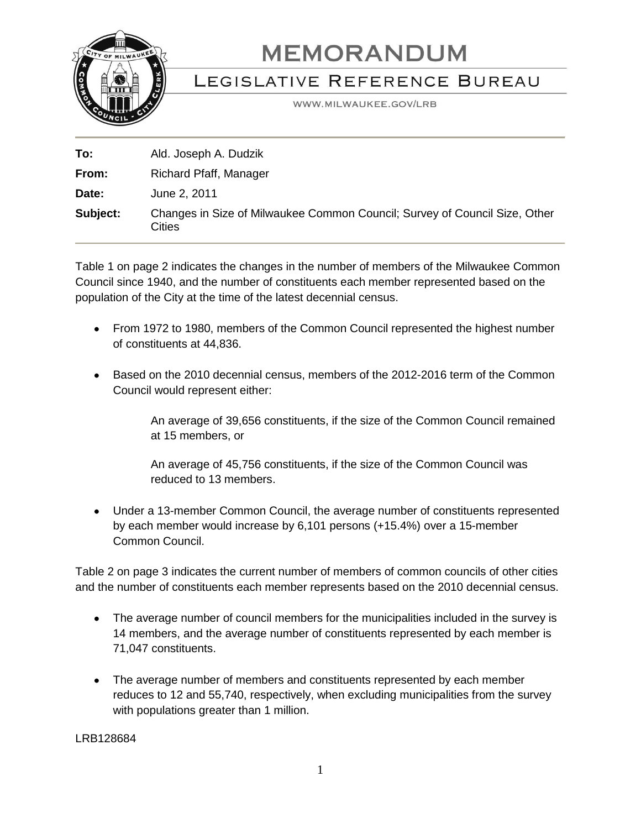

## **MEMORANDUM**

## LEGISLATIVE REFERENCE BUREAU

WWW.MILWAUKEE.GOV/LRB

| To:      | Ald. Joseph A. Dudzik                                                                |
|----------|--------------------------------------------------------------------------------------|
| From:    | Richard Pfaff, Manager                                                               |
| Date:    | June 2, 2011                                                                         |
| Subject: | Changes in Size of Milwaukee Common Council; Survey of Council Size, Other<br>Cities |

Table 1 on page 2 indicates the changes in the number of members of the Milwaukee Common Council since 1940, and the number of constituents each member represented based on the population of the City at the time of the latest decennial census.

- From 1972 to 1980, members of the Common Council represented the highest number of constituents at 44,836.
- Based on the 2010 decennial census, members of the 2012-2016 term of the Common Council would represent either:

An average of 39,656 constituents, if the size of the Common Council remained at 15 members, or

An average of 45,756 constituents, if the size of the Common Council was reduced to 13 members.

Under a 13-member Common Council, the average number of constituents represented by each member would increase by 6,101 persons (+15.4%) over a 15-member Common Council.

Table 2 on page 3 indicates the current number of members of common councils of other cities and the number of constituents each member represents based on the 2010 decennial census.

- The average number of council members for the municipalities included in the survey is 14 members, and the average number of constituents represented by each member is 71,047 constituents.
- The average number of members and constituents represented by each member reduces to 12 and 55,740, respectively, when excluding municipalities from the survey with populations greater than 1 million.

LRB128684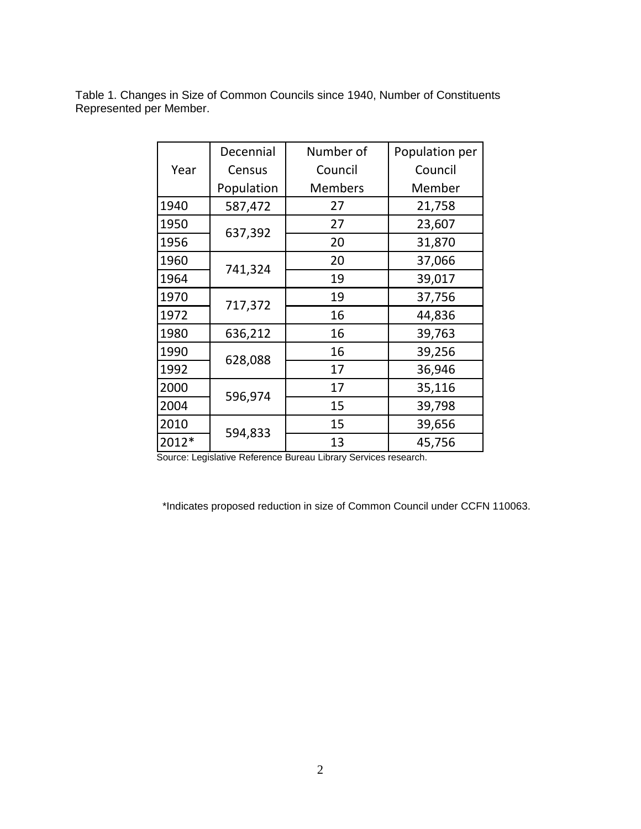|       | Decennial  | Number of      | Population per |
|-------|------------|----------------|----------------|
| Year  | Census     | Council        | Council        |
|       | Population | <b>Members</b> | Member         |
| 1940  | 587,472    | 27             | 21,758         |
| 1950  | 637,392    | 27             | 23,607         |
| 1956  |            | 20             | 31,870         |
| 1960  | 741,324    | 20             | 37,066         |
| 1964  |            | 19             | 39,017         |
| 1970  |            | 19             | 37,756         |
| 1972  | 717,372    | 16             | 44,836         |
| 1980  | 636,212    | 16             | 39,763         |
| 1990  | 628,088    | 16             | 39,256         |
| 1992  |            | 17             | 36,946         |
| 2000  | 596,974    | 17             | 35,116         |
| 2004  |            | 15             | 39,798         |
| 2010  | 594,833    | 15             | 39,656         |
| 2012* |            | 13             | 45,756         |

Table 1. Changes in Size of Common Councils since 1940, Number of Constituents Represented per Member.

Source: Legislative Reference Bureau Library Services research.

\*Indicates proposed reduction in size of Common Council under CCFN 110063.